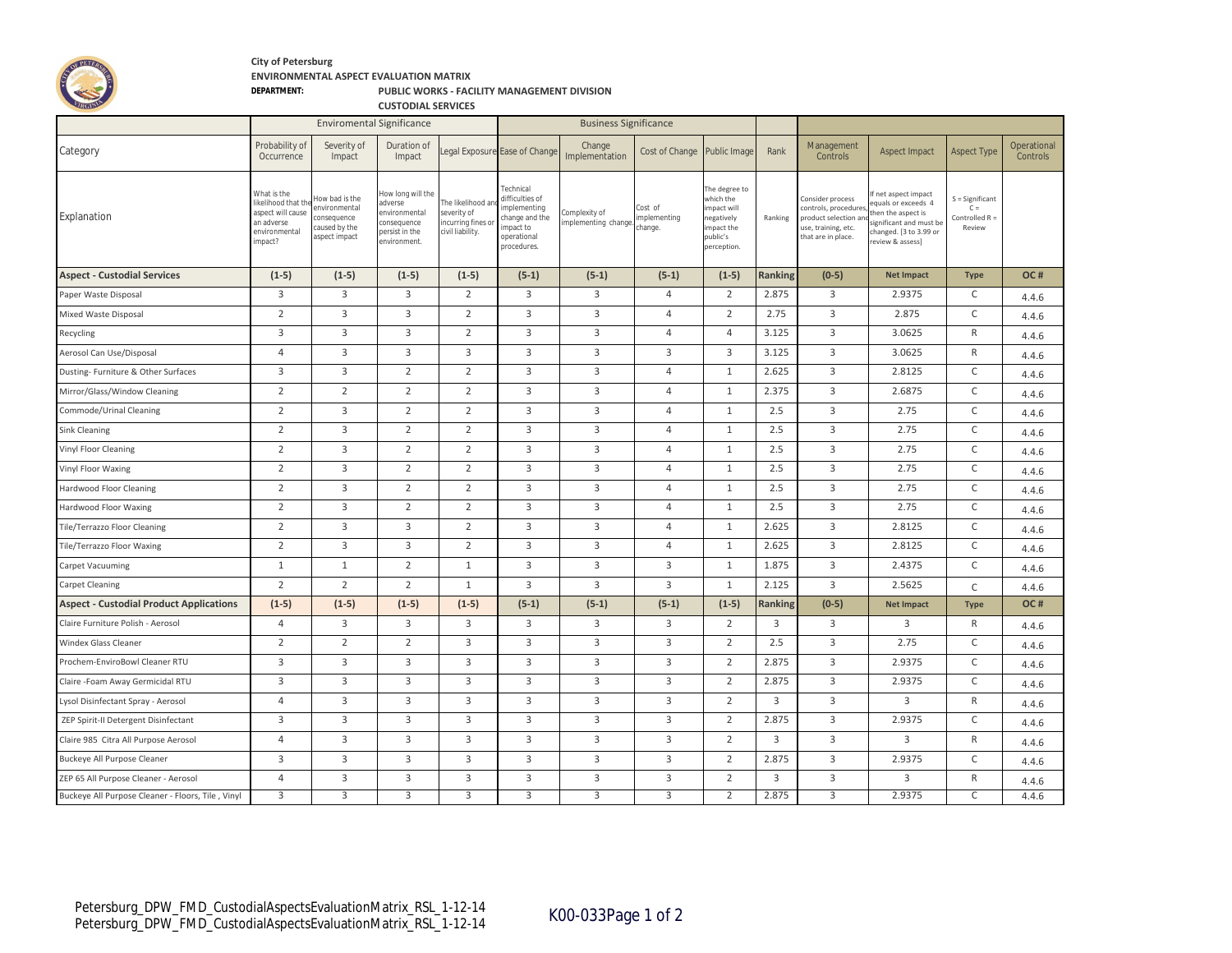

## **City of Petersburg ENVIRONMENTAL ASPECT EVALUATION MATRIX**

## **DEPARTMENT: PUBLIC WORKS - FACILITY MANAGEMENT DIVISION**

**CUSTODIAL SERVICES**

|                                                   |                                                                                                  | <b>Enviromental Significance</b>                                                 |                                                                                             |                                                                           |                                                                                                           | <b>Business Significance</b>        |                                   |                                                                                               |                |                                                                                                               |                                                                                                                                       |                                                      |                         |
|---------------------------------------------------|--------------------------------------------------------------------------------------------------|----------------------------------------------------------------------------------|---------------------------------------------------------------------------------------------|---------------------------------------------------------------------------|-----------------------------------------------------------------------------------------------------------|-------------------------------------|-----------------------------------|-----------------------------------------------------------------------------------------------|----------------|---------------------------------------------------------------------------------------------------------------|---------------------------------------------------------------------------------------------------------------------------------------|------------------------------------------------------|-------------------------|
| Category                                          | Probability of<br>Occurrence                                                                     | Severity of<br>Impact                                                            | Duration of<br>Impact                                                                       |                                                                           | Legal Exposure Ease of Change                                                                             | Change<br>Implementation            | Cost of Change                    | Public Image                                                                                  | Rank           | Management<br>Controls                                                                                        | Aspect Impact                                                                                                                         | <b>Aspect Type</b>                                   | Operational<br>Controls |
| Explanation                                       | What is the<br>likelihood that th<br>aspect will cause<br>an adverse<br>environmental<br>impact? | low bad is the<br>environmental<br>consequence<br>caused by the<br>aspect impact | How long will the<br>adverse<br>nvironmental<br>onsequence<br>ersist in the<br>environment. | The likelihood ar<br>severity of<br>incurring fines o<br>civil liability. | Technical<br>difficulties of<br>implementing<br>change and the<br>impact to<br>operational<br>procedures. | omplexity of<br>mplementing change. | Cost of<br>mplementing<br>change. | The degree to<br>which the<br>mpact will<br>egatively<br>mpact the<br>public's<br>perception. | Ranking        | Consider process<br>controls, procedures<br>product selection ar<br>use, training, etc.<br>that are in place. | f net aspect impact<br>quals or exceeds 4<br>hen the aspect is<br>ignificant and must be<br>hanged. [3 to 3.99 or<br>review & assess] | S = Significant<br>$C =$<br>Controlled R =<br>Review |                         |
| <b>Aspect - Custodial Services</b>                | $(1-5)$                                                                                          | $(1-5)$                                                                          | $(1-5)$                                                                                     | $(1-5)$                                                                   | $(5-1)$                                                                                                   | $(5-1)$                             | $(5-1)$                           | $(1-5)$                                                                                       | Ranking        | $(0-5)$                                                                                                       | <b>Net Impact</b>                                                                                                                     | <b>Type</b>                                          | OC#                     |
| Paper Waste Disposal                              | 3                                                                                                | $\overline{3}$                                                                   | $\overline{3}$                                                                              | $\overline{2}$                                                            | 3                                                                                                         | $\overline{3}$                      | $\overline{4}$                    | $\overline{2}$                                                                                | 2.875          | 3                                                                                                             | 2.9375                                                                                                                                | C                                                    | 4.4.6                   |
| Mixed Waste Disposal                              | 2                                                                                                | 3                                                                                | 3                                                                                           | $\overline{2}$                                                            | 3                                                                                                         | 3                                   | $\overline{4}$                    | $\overline{2}$                                                                                | 2.75           | 3                                                                                                             | 2.875                                                                                                                                 | C                                                    | 4.4.6                   |
| Recycling                                         | 3                                                                                                | 3                                                                                | 3                                                                                           | $\overline{2}$                                                            | $\overline{3}$                                                                                            | $\mathbf{3}$                        | $\overline{4}$                    | $\overline{4}$                                                                                | 3.125          | $\overline{3}$                                                                                                | 3.0625                                                                                                                                | $\mathsf{R}$                                         | 4.4.6                   |
| Aerosol Can Use/Disposal                          | $\overline{4}$                                                                                   | 3                                                                                | $\mathbf{3}$                                                                                | 3                                                                         | 3                                                                                                         | $\mathbf{3}$                        | 3                                 | 3                                                                                             | 3.125          | $\overline{3}$                                                                                                | 3.0625                                                                                                                                | $\mathsf{R}$                                         | 4.4.6                   |
| Dusting- Furniture & Other Surfaces               | 3                                                                                                | $\mathbf{3}$                                                                     | $\overline{2}$                                                                              | $\overline{2}$                                                            | 3                                                                                                         | $\mathbf{3}$                        | $\overline{4}$                    | $\mathbf{1}$                                                                                  | 2.625          | 3                                                                                                             | 2.8125                                                                                                                                | C                                                    | 4.4.6                   |
| Mirror/Glass/Window Cleaning                      | $\overline{2}$                                                                                   | $\overline{2}$                                                                   | $\overline{2}$                                                                              | $\overline{2}$                                                            | $\overline{3}$                                                                                            | $\overline{3}$                      | $\overline{4}$                    | $\mathbf{1}$                                                                                  | 2.375          | 3                                                                                                             | 2.6875                                                                                                                                | C                                                    | 4.4.6                   |
| Commode/Urinal Cleaning                           | $\overline{2}$                                                                                   | 3                                                                                | $\overline{2}$                                                                              | $\overline{2}$                                                            | 3                                                                                                         | 3                                   | $\overline{4}$                    | $\mathbf{1}$                                                                                  | 2.5            | 3                                                                                                             | 2.75                                                                                                                                  | C                                                    | 4.4.6                   |
| Sink Cleaning                                     | $\overline{2}$                                                                                   | $\overline{3}$                                                                   | $\overline{2}$                                                                              | $\overline{2}$                                                            | $\overline{3}$                                                                                            | $\mathbf{3}$                        | $\overline{4}$                    | $\mathbf{1}$                                                                                  | 2.5            | 3                                                                                                             | 2.75                                                                                                                                  | C                                                    | 4.4.6                   |
| Vinyl Floor Cleaning                              | $\overline{2}$                                                                                   | 3                                                                                | $\overline{2}$                                                                              | $\overline{2}$                                                            | $\overline{3}$                                                                                            | $\overline{3}$                      | $\overline{4}$                    | $\mathbf{1}$                                                                                  | 2.5            | $\overline{3}$                                                                                                | 2.75                                                                                                                                  | $\mathsf C$                                          | 4.4.6                   |
| Vinyl Floor Waxing                                | $\overline{2}$                                                                                   | 3                                                                                | $\overline{2}$                                                                              | $\overline{2}$                                                            | 3                                                                                                         | $\overline{3}$                      | $\overline{4}$                    | $\mathbf{1}$                                                                                  | 2.5            | $\overline{3}$                                                                                                | 2.75                                                                                                                                  | $\mathsf C$                                          | 4.4.6                   |
| Hardwood Floor Cleaning                           | $\overline{2}$                                                                                   | $\mathbf{3}$                                                                     | $\overline{2}$                                                                              | $\overline{2}$                                                            | $\overline{3}$                                                                                            | $\overline{3}$                      | $\overline{4}$                    | 1                                                                                             | 2.5            | $\overline{3}$                                                                                                | 2.75                                                                                                                                  | C                                                    | 4.4.6                   |
| Hardwood Floor Waxing                             | $\overline{2}$                                                                                   | 3                                                                                | $\overline{2}$                                                                              | $\overline{2}$                                                            | 3                                                                                                         | $\overline{3}$                      | $\overline{4}$                    | $\mathbf{1}$                                                                                  | 2.5            | $\overline{3}$                                                                                                | 2.75                                                                                                                                  | C                                                    | 4.4.6                   |
| Tile/Terrazzo Floor Cleaning                      | $\overline{2}$                                                                                   | 3                                                                                | 3                                                                                           | $\overline{2}$                                                            | 3                                                                                                         | $\mathbf{3}$                        | $\overline{4}$                    | $\mathbf{1}$                                                                                  | 2.625          | 3                                                                                                             | 2.8125                                                                                                                                | C                                                    | 4.4.6                   |
| Tile/Terrazzo Floor Waxing                        | $\overline{2}$                                                                                   | 3                                                                                | $\overline{3}$                                                                              | $\overline{2}$                                                            | $\mathbf{3}$                                                                                              | $\overline{3}$                      | $\overline{4}$                    | $\mathbf{1}$                                                                                  | 2.625          | $\overline{3}$                                                                                                | 2.8125                                                                                                                                | $\mathsf C$                                          | 4.4.6                   |
| Carpet Vacuuming                                  | $\mathbf{1}$                                                                                     | $\mathbf{1}$                                                                     | $\overline{2}$                                                                              | $\mathbf{1}$                                                              | 3                                                                                                         | $\overline{3}$                      | 3                                 | $\mathbf{1}$                                                                                  | 1.875          | 3                                                                                                             | 2.4375                                                                                                                                | $\mathsf C$                                          | 4.4.6                   |
| <b>Carpet Cleaning</b>                            | $\overline{2}$                                                                                   | $\overline{2}$                                                                   | $\overline{2}$                                                                              | $\mathbf{1}$                                                              | 3                                                                                                         | $\mathbf{3}$                        | 3                                 | $\mathbf{1}$                                                                                  | 2.125          | 3                                                                                                             | 2.5625                                                                                                                                | $\mathsf{C}$                                         | 4.4.6                   |
| <b>Aspect - Custodial Product Applications</b>    | $(1-5)$                                                                                          | $(1-5)$                                                                          | $(1-5)$                                                                                     | $(1-5)$                                                                   | $(5-1)$                                                                                                   | $(5-1)$                             | $(5-1)$                           | $(1-5)$                                                                                       | <b>Ranking</b> | $(0-5)$                                                                                                       | <b>Net Impact</b>                                                                                                                     | <b>Type</b>                                          | OC#                     |
| Claire Furniture Polish - Aerosol                 | $\overline{4}$                                                                                   | $\mathbf{3}$                                                                     | $\mathbf{3}$                                                                                | 3                                                                         | 3                                                                                                         | 3                                   | 3                                 | $\overline{2}$                                                                                | 3              | 3                                                                                                             | 3                                                                                                                                     | $\mathsf{R}$                                         | 4.4.6                   |
| Windex Glass Cleaner                              | $\overline{2}$                                                                                   | $\overline{2}$                                                                   | $\overline{2}$                                                                              | $\overline{3}$                                                            | $\overline{3}$                                                                                            | $\mathbf{3}$                        | 3                                 | $\overline{2}$                                                                                | 2.5            | $\overline{3}$                                                                                                | 2.75                                                                                                                                  | C                                                    | 4.4.6                   |
| Prochem-EnviroBowl Cleaner RTU                    | 3                                                                                                | 3                                                                                | 3                                                                                           | 3                                                                         | 3                                                                                                         | 3                                   | 3                                 | $\overline{2}$                                                                                | 2.875          | 3                                                                                                             | 2.9375                                                                                                                                | $\mathsf C$                                          | 4.4.6                   |
| Claire -Foam Away Germicidal RTU                  | 3                                                                                                | $\mathbf{3}$                                                                     | $\mathbf{3}$                                                                                | 3                                                                         | 3                                                                                                         | 3                                   | 3                                 | $\overline{2}$                                                                                | 2.875          | 3                                                                                                             | 2.9375                                                                                                                                | C                                                    | 4.4.6                   |
| Lysol Disinfectant Spray - Aerosol                | $\overline{4}$                                                                                   | $\mathbf{3}$                                                                     | 3                                                                                           | 3                                                                         | 3                                                                                                         | $\mathbf{3}$                        | 3                                 | $\overline{2}$                                                                                | $\overline{3}$ | $\overline{3}$                                                                                                | 3                                                                                                                                     | $\mathsf{R}$                                         | 4.4.6                   |
| ZEP Spirit-II Detergent Disinfectant              | 3                                                                                                | 3                                                                                | 3                                                                                           | 3                                                                         | 3                                                                                                         | 3                                   | 3                                 | $\overline{2}$                                                                                | 2.875          | 3                                                                                                             | 2.9375                                                                                                                                | C                                                    | 4.4.6                   |
| Claire 985 Citra All Purpose Aerosol              | $\overline{4}$                                                                                   | 3                                                                                | 3                                                                                           | 3                                                                         | 3                                                                                                         | 3                                   | 3                                 | $\overline{2}$                                                                                | 3              | $\overline{3}$                                                                                                | 3                                                                                                                                     | $\mathsf{R}$                                         | 4.4.6                   |
| Buckeye All Purpose Cleaner                       | 3                                                                                                | 3                                                                                | 3                                                                                           | 3                                                                         | 3                                                                                                         | $\overline{3}$                      | 3                                 | $\overline{2}$                                                                                | 2.875          | 3                                                                                                             | 2.9375                                                                                                                                | $\mathsf C$                                          | 4.4.6                   |
| ZEP 65 All Purpose Cleaner - Aerosol              | $\overline{4}$                                                                                   | $\mathbf{3}$                                                                     | 3                                                                                           | 3                                                                         | 3                                                                                                         | $\overline{3}$                      | 3                                 | $\overline{2}$                                                                                | $\overline{3}$ | 3                                                                                                             | $\mathbf{3}$                                                                                                                          | $\mathsf{R}$                                         | 4.4.6                   |
| Buckeye All Purpose Cleaner - Floors, Tile, Vinyl | 3                                                                                                | $\overline{3}$                                                                   | $\overline{3}$                                                                              | $\overline{3}$                                                            | $\overline{3}$                                                                                            | $\overline{3}$                      | $\overline{3}$                    | $\overline{2}$                                                                                | 2.875          | $\overline{3}$                                                                                                | 2.9375                                                                                                                                | $\overline{\mathsf{c}}$                              | 4.4.6                   |